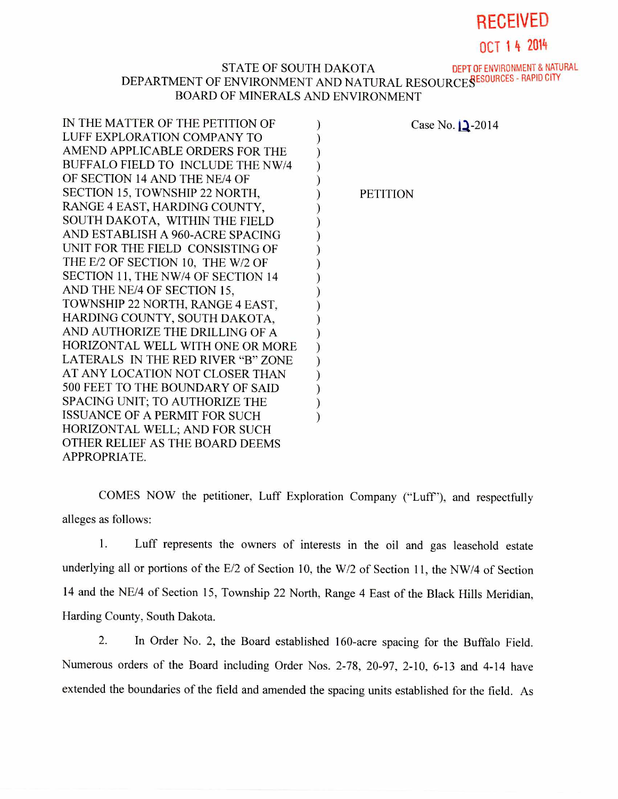## RECEIVED

OCT 1 4 2014

## STATE OF SOUTH DAKOTA DEPT OF ENVIRONMENT & NATURAL

## DEPARTMENT OF ENVIRONMENT AND NATURAL RESOURCES SESSURCES - RAPID CITY BOARD OF MINERALS AND ENVIRONMENT

| IN THE MATTER OF THE PETITION OF     | Case No. $\sqrt{2}$ -2014 |
|--------------------------------------|---------------------------|
| LUFF EXPLORATION COMPANY TO          |                           |
| AMEND APPLICABLE ORDERS FOR THE      |                           |
| BUFFALO FIELD TO INCLUDE THE NW/4    |                           |
| OF SECTION 14 AND THE NE/4 OF        |                           |
| SECTION 15, TOWNSHIP 22 NORTH,       | <b>PETITION</b>           |
| RANGE 4 EAST, HARDING COUNTY,        |                           |
| SOUTH DAKOTA, WITHIN THE FIELD       |                           |
| AND ESTABLISH A 960-ACRE SPACING     |                           |
| UNIT FOR THE FIELD CONSISTING OF     |                           |
| THE E/2 OF SECTION 10, THE W/2 OF    |                           |
| SECTION 11, THE NW/4 OF SECTION 14   |                           |
| AND THE NE/4 OF SECTION 15,          |                           |
| TOWNSHIP 22 NORTH, RANGE 4 EAST,     |                           |
| HARDING COUNTY, SOUTH DAKOTA,        |                           |
| AND AUTHORIZE THE DRILLING OF A      |                           |
| HORIZONTAL WELL WITH ONE OR MORE     |                           |
| LATERALS IN THE RED RIVER "B" ZONE   |                           |
| AT ANY LOCATION NOT CLOSER THAN      |                           |
| 500 FEET TO THE BOUNDARY OF SAID     |                           |
| SPACING UNIT; TO AUTHORIZE THE       |                           |
| <b>ISSUANCE OF A PERMIT FOR SUCH</b> |                           |
| HORIZONTAL WELL; AND FOR SUCH        |                           |
| OTHER RELIEF AS THE BOARD DEEMS      |                           |
| APPROPRIATE.                         |                           |
|                                      |                           |

COMES NOW the petitioner, Luff Exploration Company ("Luff'), and respectfully alleges as follows:

1. Luff represents the owners of interests in the oil and gas leasehold estate underlying all or portions of the E/2 of Section 10, the W/2 of Section 11, the NW/4 of Section 14 and the NE/4 of Section 15, Township 22 North, Range 4 East of the Black Hills Meridian, Harding County, South Dakota.

2. In Order No. 2, the Board established 160-acre spacing for the Buffalo Field. Numerous orders of the Board including Order Nos. 2-78, 20-97, 2-10, 6-13 and 4-14 have extended the boundaries of the field and amended the spacing units established for the field. As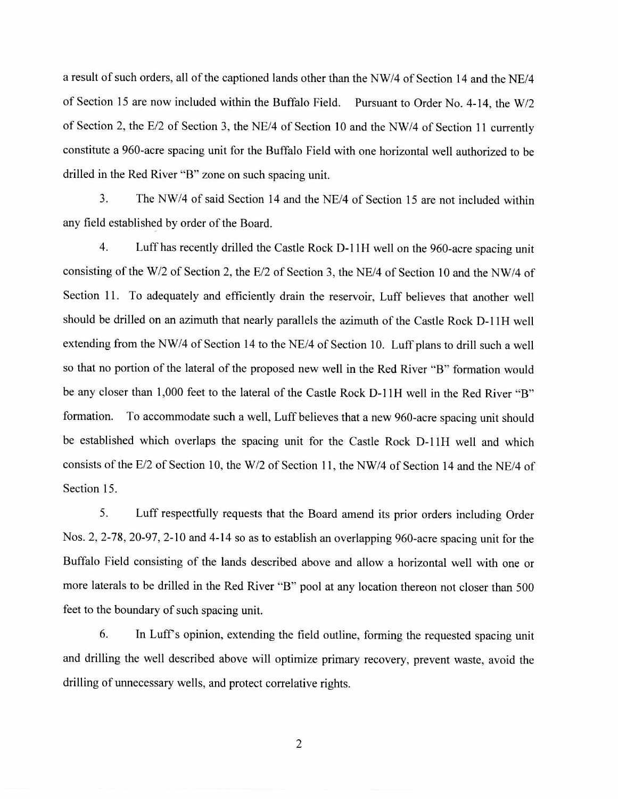a result of such orders, all of the captioned lands other than the NW/4 of Section 14 and the NE/4 of Section 15 are now included within the Buffalo Field. Pursuant to Order No. 4-14, the W/2 of Section 2, the E/2 of Section 3, the NE/4 of Section 10 and the NW/4 of Section 11 currently constitute a 960-acre spacing unit for the Buffalo Field with one horizontal well authorized to be drilled in the Red River "B" zone on such spacing unit.

3. The NW/4 of said Section 14 and the NE/4 of Section 15 are not included within any field established by order of the Board.

4. Luff has recently drilled the Castle Rock D-11H well on the 960-acre spacing unit consisting of the W/2 of Section 2, the E/2 of Section 3, the NE/4 of Section 10 and the NW/4 of Section 11. To adequately and efficiently drain the reservoir, Luff believes that another well should be drilled on an azimuth that nearly parallels the azimuth of the Castle Rock D-11H well extending from the NW/4 of Section 14 to the NE/4 of Section 10. Luff plans to drill such a well so that no portion of the lateral of the proposed new well in the Red River "B" formation would be any closer than 1,000 feet to the lateral of the Castle Rock D-11H well in the Red River "B" formation. To accommodate such a well, Luff believes that a new 960-acre spacing unit should be established which overlaps the spacing unit for the Castle Rock D-11H well and which consists of the E/2 of Section 10, the W/2 of Section 11, the NW/4 of Section 14 and the NE/4 of Section 15.

5. Luff respectfully requests that the Board amend its prior orders including Order Nos. 2, 2-78, 20-97, 2-10 and 4-14 so as to establish an overlapping 960-acre spacing unit for the Buffalo Field consisting of the lands described above and allow a horizontal well with one or more laterals to be drilled in the Red River "B" pool at any location thereon not closer than 500 feet to the boundary of such spacing unit.

6. In Luff's opinion, extending the field outline, forming the requested spacing unit and drilling the well described above will optimize primary recovery, prevent waste, avoid the drilling of unnecessary wells, and protect correlative rights.

2